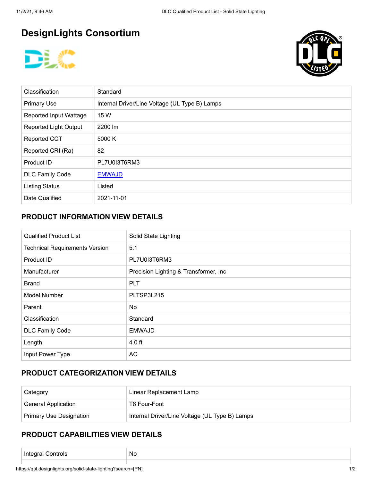# **DesignLights Consortium**





| Classification               | Standard                                       |
|------------------------------|------------------------------------------------|
| <b>Primary Use</b>           | Internal Driver/Line Voltage (UL Type B) Lamps |
| Reported Input Wattage       | 15 W                                           |
| <b>Reported Light Output</b> | 2200 lm                                        |
| <b>Reported CCT</b>          | 5000 K                                         |
| Reported CRI (Ra)            | 82                                             |
| Product ID                   | PL7U0I3T6RM3                                   |
| <b>DLC Family Code</b>       | <b>EMWAJD</b>                                  |
| <b>Listing Status</b>        | Listed                                         |
| Date Qualified               | 2021-11-01                                     |

## **PRODUCT INFORMATION VIEW DETAILS**

| <b>Qualified Product List</b>         | Solid State Lighting                   |
|---------------------------------------|----------------------------------------|
| <b>Technical Requirements Version</b> | 5.1                                    |
| Product ID                            | PL7U0I3T6RM3                           |
| Manufacturer                          | Precision Lighting & Transformer, Inc. |
| <b>Brand</b>                          | <b>PLT</b>                             |
| <b>Model Number</b>                   | PLTSP3L215                             |
| Parent                                | No.                                    |
| Classification                        | Standard                               |
| <b>DLC Family Code</b>                | <b>EMWAJD</b>                          |
| Length                                | 4.0 ft                                 |
| Input Power Type                      | <b>AC</b>                              |

## **PRODUCT CATEGORIZATION VIEW DETAILS**

| Category                       | Linear Replacement Lamp                        |
|--------------------------------|------------------------------------------------|
| <b>General Application</b>     | T8 Four-Foot                                   |
| <b>Primary Use Designation</b> | Internal Driver/Line Voltage (UL Type B) Lamps |

#### **PRODUCT CAPABILITIES VIEW DETAILS**

| ___ | - 715<br>זזוזו | Νú |
|-----|----------------|----|
|-----|----------------|----|